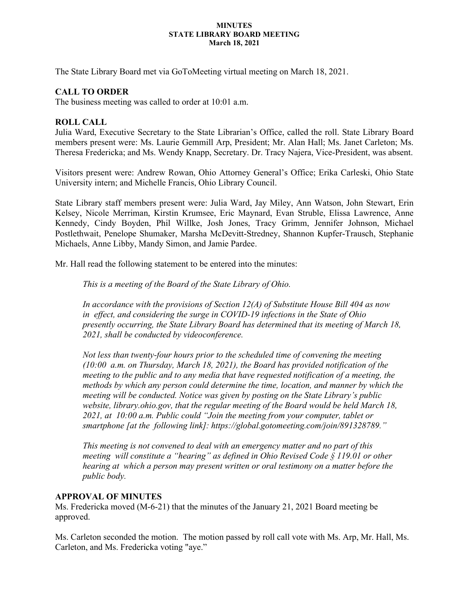#### **MINUTES STATE LIBRARY BOARD MEETING March 18, 2021**

The State Library Board met via GoToMeeting virtual meeting on March 18, 2021.

# **CALL TO ORDER**

The business meeting was called to order at 10:01 a.m.

# **ROLL CALL**

Julia Ward, Executive Secretary to the State Librarian's Office, called the roll. State Library Board members present were: Ms. Laurie Gemmill Arp, President; Mr. Alan Hall; Ms. Janet Carleton; Ms. Theresa Fredericka; and Ms. Wendy Knapp, Secretary. Dr. Tracy Najera, Vice-President, was absent.

Visitors present were: Andrew Rowan, Ohio Attorney General's Office; Erika Carleski, Ohio State University intern; and Michelle Francis, Ohio Library Council.

State Library staff members present were: Julia Ward, Jay Miley, Ann Watson, John Stewart, Erin Kelsey, Nicole Merriman, Kirstin Krumsee, Eric Maynard, Evan Struble, Elissa Lawrence, Anne Kennedy, Cindy Boyden, Phil Willke, Josh Jones, Tracy Grimm, Jennifer Johnson, Michael Postlethwait, Penelope Shumaker, Marsha McDevitt-Stredney, Shannon Kupfer-Trausch, Stephanie Michaels, Anne Libby, Mandy Simon, and Jamie Pardee.

Mr. Hall read the following statement to be entered into the minutes:

*This is a meeting of the Board of the State Library of Ohio.*

*In accordance with the provisions of Section 12(A) of Substitute House Bill 404 as now in effect, and considering the surge in COVID-19 infections in the State of Ohio presently occurring, the State Library Board has determined that its meeting of March 18, 2021, shall be conducted by videoconference.* 

*Not less than twenty-four hours prior to the scheduled time of convening the meeting (10:00 a.m. on Thursday, March 18, 2021), the Board has provided notification of the meeting to the public and to any media that have requested notification of a meeting, the methods by which any person could determine the time, location, and manner by which the meeting will be conducted. Notice was given by posting on the State Library's public website, library.ohio.gov, that the regular meeting of the Board would be held March 18, 2021, at 10:00 a.m. Public could "Join the meeting from your computer, tablet or smartphone [at the following link]: https://global.gotomeeting.com/join/891328789."*

*This meeting is not convened to deal with an emergency matter and no part of this meeting will constitute a "hearing" as defined in Ohio Revised Code § 119.01 or other hearing at which a person may present written or oral testimony on a matter before the public body.*

# **APPROVAL OF MINUTES**

Ms. Fredericka moved (M-6-21) that the minutes of the January 21, 2021 Board meeting be approved.

Ms. Carleton seconded the motion. The motion passed by roll call vote with Ms. Arp, Mr. Hall, Ms. Carleton, and Ms. Fredericka voting "aye."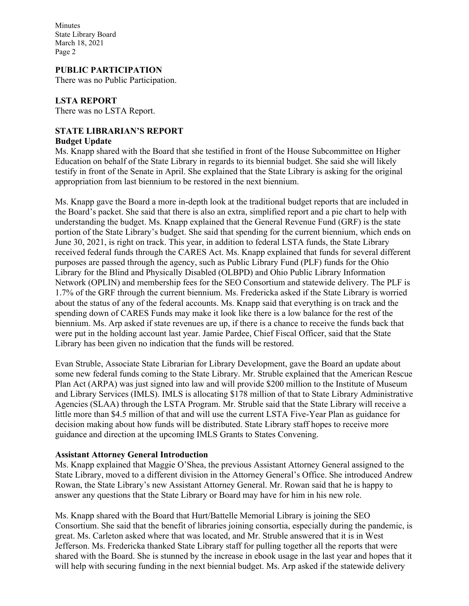Minutes State Library Board March 18, 2021 Page 2

### **PUBLIC PARTICIPATION**

There was no Public Participation.

### **LSTA REPORT**

There was no LSTA Report.

# **STATE LIBRARIAN'S REPORT**

### **Budget Update**

Ms. Knapp shared with the Board that she testified in front of the House Subcommittee on Higher Education on behalf of the State Library in regards to its biennial budget. She said she will likely testify in front of the Senate in April. She explained that the State Library is asking for the original appropriation from last biennium to be restored in the next biennium.

Ms. Knapp gave the Board a more in-depth look at the traditional budget reports that are included in the Board's packet. She said that there is also an extra, simplified report and a pie chart to help with understanding the budget. Ms. Knapp explained that the General Revenue Fund (GRF) is the state portion of the State Library's budget. She said that spending for the current biennium, which ends on June 30, 2021, is right on track. This year, in addition to federal LSTA funds, the State Library received federal funds through the CARES Act. Ms. Knapp explained that funds for several different purposes are passed through the agency, such as Public Library Fund (PLF) funds for the Ohio Library for the Blind and Physically Disabled (OLBPD) and Ohio Public Library Information Network (OPLIN) and membership fees for the SEO Consortium and statewide delivery. The PLF is 1.7% of the GRF through the current biennium. Ms. Fredericka asked if the State Library is worried about the status of any of the federal accounts. Ms. Knapp said that everything is on track and the spending down of CARES Funds may make it look like there is a low balance for the rest of the biennium. Ms. Arp asked if state revenues are up, if there is a chance to receive the funds back that were put in the holding account last year. Jamie Pardee, Chief Fiscal Officer, said that the State Library has been given no indication that the funds will be restored.

Evan Struble, Associate State Librarian for Library Development, gave the Board an update about some new federal funds coming to the State Library. Mr. Struble explained that the American Rescue Plan Act (ARPA) was just signed into law and will provide \$200 million to the Institute of Museum and Library Services (IMLS). IMLS is allocating \$178 million of that to State Library Administrative Agencies (SLAA) through the LSTA Program. Mr. Struble said that the State Library will receive a little more than \$4.5 million of that and will use the current LSTA Five-Year Plan as guidance for decision making about how funds will be distributed. State Library staff hopes to receive more guidance and direction at the upcoming IMLS Grants to States Convening.

### **Assistant Attorney General Introduction**

Ms. Knapp explained that Maggie O'Shea, the previous Assistant Attorney General assigned to the State Library, moved to a different division in the Attorney General's Office. She introduced Andrew Rowan, the State Library's new Assistant Attorney General. Mr. Rowan said that he is happy to answer any questions that the State Library or Board may have for him in his new role.

Ms. Knapp shared with the Board that Hurt/Battelle Memorial Library is joining the SEO Consortium. She said that the benefit of libraries joining consortia, especially during the pandemic, is great. Ms. Carleton asked where that was located, and Mr. Struble answered that it is in West Jefferson. Ms. Fredericka thanked State Library staff for pulling together all the reports that were shared with the Board. She is stunned by the increase in ebook usage in the last year and hopes that it will help with securing funding in the next biennial budget. Ms. Arp asked if the statewide delivery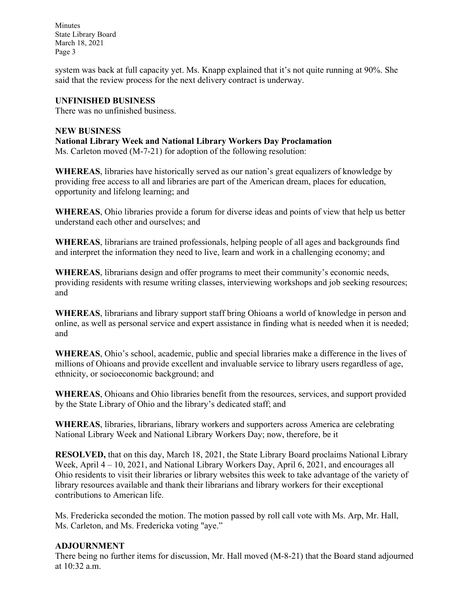Minutes State Library Board March 18, 2021 Page 3

system was back at full capacity yet. Ms. Knapp explained that it's not quite running at 90%. She said that the review process for the next delivery contract is underway.

### **UNFINISHED BUSINESS**

There was no unfinished business.

# **NEW BUSINESS**

**National Library Week and National Library Workers Day Proclamation** Ms. Carleton moved (M-7-21) for adoption of the following resolution:

**WHEREAS**, libraries have historically served as our nation's great equalizers of knowledge by providing free access to all and libraries are part of the American dream, places for education, opportunity and lifelong learning; and

**WHEREAS**, Ohio libraries provide a forum for diverse ideas and points of view that help us better understand each other and ourselves; and

**WHEREAS**, librarians are trained professionals, helping people of all ages and backgrounds find and interpret the information they need to live, learn and work in a challenging economy; and

**WHEREAS**, librarians design and offer programs to meet their community's economic needs, providing residents with resume writing classes, interviewing workshops and job seeking resources; and

**WHEREAS**, librarians and library support staff bring Ohioans a world of knowledge in person and online, as well as personal service and expert assistance in finding what is needed when it is needed; and

**WHEREAS**, Ohio's school, academic, public and special libraries make a difference in the lives of millions of Ohioans and provide excellent and invaluable service to library users regardless of age, ethnicity, or socioeconomic background; and

**WHEREAS**, Ohioans and Ohio libraries benefit from the resources, services, and support provided by the State Library of Ohio and the library's dedicated staff; and

**WHEREAS**, libraries, librarians, library workers and supporters across America are celebrating National Library Week and National Library Workers Day; now, therefore, be it

**RESOLVED,** that on this day, March 18, 2021, the State Library Board proclaims National Library Week, April  $4 - 10$ , 2021, and National Library Workers Day, April 6, 2021, and encourages all Ohio residents to visit their libraries or library websites this week to take advantage of the variety of library resources available and thank their librarians and library workers for their exceptional contributions to American life.

Ms. Fredericka seconded the motion. The motion passed by roll call vote with Ms. Arp, Mr. Hall, Ms. Carleton, and Ms. Fredericka voting "aye."

# **ADJOURNMENT**

There being no further items for discussion, Mr. Hall moved (M-8-21) that the Board stand adjourned at  $10:32$  a.m.